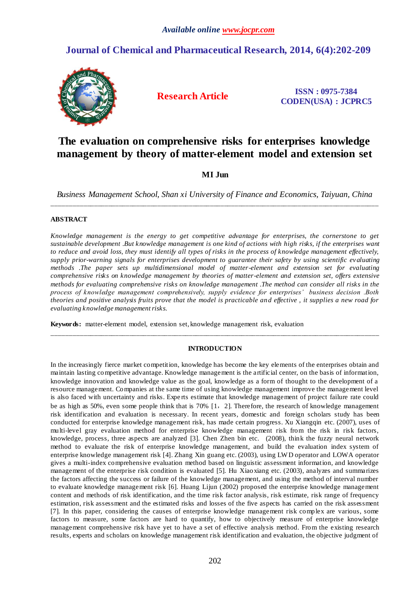# **Journal of Chemical and Pharmaceutical Research, 2014, 6(4):202-209**



**Research Article ISSN : 0975-7384 CODEN(USA) : JCPRC5**

# **The evaluation on comprehensive risks for enterprises knowledge management by theory of matter-element model and extension set**

# **MI Jun**

*Business Management School, Shan xi University of Finance and Economics, Taiyuan, China* \_\_\_\_\_\_\_\_\_\_\_\_\_\_\_\_\_\_\_\_\_\_\_\_\_\_\_\_\_\_\_\_\_\_\_\_\_\_\_\_\_\_\_\_\_\_\_\_\_\_\_\_\_\_\_\_\_\_\_\_\_\_\_\_\_\_\_\_\_\_\_\_\_\_\_\_\_\_\_\_\_\_\_\_\_\_\_\_\_\_\_\_\_

# **ABSTRACT**

*Knowledge management is the energy to get competitive advantage for enterprises, the cornerstone to get sustainable development .But knowledge management is one kind of actions with high risks, if the enterprises want to reduce and avoid loss, they must identify all types of risks in the process of knowledge management effectively, supply prior-warning signals for enterprises development to guarantee their safety by using scientific evaluating methods .The paper sets up multidimensional model of matter-element and extension set for evaluating comprehensive risks on knowledge management by theories of matter-element and extension set, offers extensive methods for evaluating comprehensive risks on knowledge management .The method can consider all risks in the process of knowledge management comprehensively, supply evidence for enterprises' business decision .Both theories and positive analysis fruits prove that the model is practicable an d effective , it supplies a new road for evaluating knowledge management risks.*

**Keywords:** matter-element model, extension set, knowledge management risk, evaluation

# **INTRODUCTION**

\_\_\_\_\_\_\_\_\_\_\_\_\_\_\_\_\_\_\_\_\_\_\_\_\_\_\_\_\_\_\_\_\_\_\_\_\_\_\_\_\_\_\_\_\_\_\_\_\_\_\_\_\_\_\_\_\_\_\_\_\_\_\_\_\_\_\_\_\_\_\_\_\_\_\_\_\_\_\_\_\_\_\_\_\_\_\_\_\_\_\_\_\_

In the increasingly fierce market competition, knowledge has become the key elements of the enterprises obtain and maintain lasting competitive advantage. Knowledge management is the artificial center, on the basis of information, knowledge innovation and knowledge value as the goal, knowledge as a form of thought to the development of a resource management. Companies at the same time of using knowledge management improve the management level is also faced with uncertainty and risks. Expe rts estimate that knowledge management of project failure rate could be as high as 50%, even some people think that is 70% [1, 2]. Therefore, the research of knowledge management risk identification and evaluation is necessary. In recent years, domestic and foreign scholars study has been conducted for enterprise knowledge management risk, has made certain progress. Xu Xiangqin etc. (2007), uses of multi-level gray evaluation method for enterprise knowledge management risk from the risk in risk factors, knowledge, process, three aspects are analyzed [3]. Chen Zhen bin etc. (2008), think the fuzzy neural network method to evaluate the risk of enterprise knowledge management, and build the evaluation index system of enterprise knowledge management risk [4]. Zhang Xin guang etc. (2003), using LW D operator and LOWA operator gives a multi-index comprehensive evaluation method based on linguistic assessment information, and knowledge management of the enterprise risk condition is evaluated [5]. Hu Xiaoxiang etc. (2003), analyzes and summarizes the factors affecting the success or failure of the knowledge management, and using the method of interval number to evaluate knowledge management risk [6]. Huang Lijun (2002) proposed the enterprise knowledge management content and methods of risk identification, and the time risk factor analysis, risk estimate, risk range of frequency estimation, risk assessment and the estimated risks and losses of the five aspects has carried on the risk assessment [7]. In this paper, considering the causes of enterprise knowledge management risk complex are various, some factors to measure, some factors are hard to quantify, how to objectively measure of enterprise knowledge management comprehensive risk have yet to have a set of effective analysis method. From the existing research results, experts and scholars on knowledge management risk identification and evaluation, the objective judgment of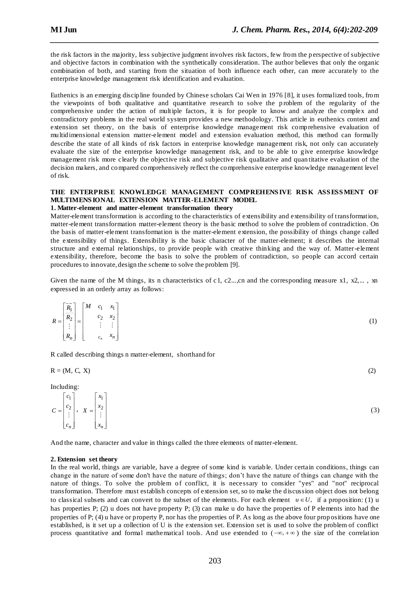the risk factors in the majority, less subjective judgment involves risk factors, few from the p erspective of subjective and objective factors in combination with the synthetically consideration. The author believes that only the organic combination of both, and starting from the situation of both influence each other, can more accurately to the enterprise knowledge management risk identification and evaluation.

*\_\_\_\_\_\_\_\_\_\_\_\_\_\_\_\_\_\_\_\_\_\_\_\_\_\_\_\_\_\_\_\_\_\_\_\_\_\_\_\_\_\_\_\_\_\_\_\_\_\_\_\_\_\_\_\_\_\_\_\_\_\_\_\_\_\_\_\_\_\_\_\_\_\_\_\_\_\_*

Euthenics is an emerging discipline founded by Chinese scholars Cai Wen in 1976 [8], it uses formalized tools, from the viewpoints of both qualitative and quantitative research to solve the p roblem of the regularity of the comprehensive under the action of multiple factors, it is for people to know and analyze the complex and contradictory problems in the real world system provides a new methodology. This article in euthenics content and extension set theory, on the basis of enterprise knowledge management risk comprehensive evaluation of multidimensional extension matter-element model and extension evaluation method, this method can formally describe the state of all kinds of risk factors in enterprise knowledge management risk, not only can accurately evaluate the size of the enterprise knowledge management risk, and to be able to give enterprise knowledge management risk more clearly the objective risk and subjective risk qualitative and quan titative evaluation of the decision makers, and compared comprehensively reflect the comprehensive enterprise knowledge management level of risk.

# THE ENTERPRISE KNOWLEDGE MANAGEMENT COMPREHENSIVE RISK ASSESSMENT OF **MULTIMENS IONAL EXTENSION MATTER-ELEMENT MODEL**

# **1. Matter-element and matter-element transformation theory**

Matter-element transformation is according to the characteristics of extensibility and extensibility of transformation, matter-element transformation matter-element theory is the basic method to solve the problem of contradiction. On the basis of matter-element transformation is the matter-element extension, the possibility of things change called the extensibility of things. Extensibility is the basic character of the matter-element; it describes the internal structure and external relationships, to provide people with creative thinking and the way of. Matter-element extensibility, therefore, become the basis to solve the problem of contradiction, so people can accord certain procedures to innovate, design the scheme to solve the problem [9].

Given the name of the M things, its n characteristics of c1, c2...,cn and the corresponding measure  $x1, x2,...$ , xn expressed in an orderly array as follows:

$$
R = \begin{bmatrix} R_1 \\ R_2 \\ \vdots \\ R_n \end{bmatrix} = \begin{bmatrix} M & c_1 & x_1 \\ c_2 & x_2 \\ \vdots & \vdots \\ c_n & x_n \end{bmatrix}
$$
 (1)

R called describing things n matter-element, shorthand for

 $R = (M, C, X)$  (2)

Including:

|  | $C = \begin{bmatrix} c_1 \\ c_2 \\ \vdots \\ c_n \end{bmatrix}$ , $X = \begin{bmatrix} x_1 \\ x_2 \\ \vdots \\ x_n \end{bmatrix}$ | (3) |
|--|-----------------------------------------------------------------------------------------------------------------------------------|-----|
|  |                                                                                                                                   |     |

And the name, character and value in things called the three elements of matter-element.

### **2. Extension set theory**

In the real world, things are variable, have a degree of some kind is variable. Under certain conditions, things can change in the nature of some don't have the nature of things; don't have the nature of things can change with the nature of things. To solve the problem of conflict, it is necessary to consider "yes" and "not" reciprocal transformation. Therefore must establish concepts of extension set, so to make the discussion object does not belong to classical subsets and can convert to the subset of the elements. For each element  $u \in U$ , if a proposition: (1) u has properties P; (2) u does not have property P; (3) can make u do have the properties of P elements into had the properties of P; (4) u have or property P, nor has the properties of P. As long as the above four prop ositions have one established, is it set up a collection of U is the extension set. Extension set is used to solve the problem of conflict process quantitative and formal mathematical tools. And use extended to  $(-\infty, +\infty)$  the size of the correlation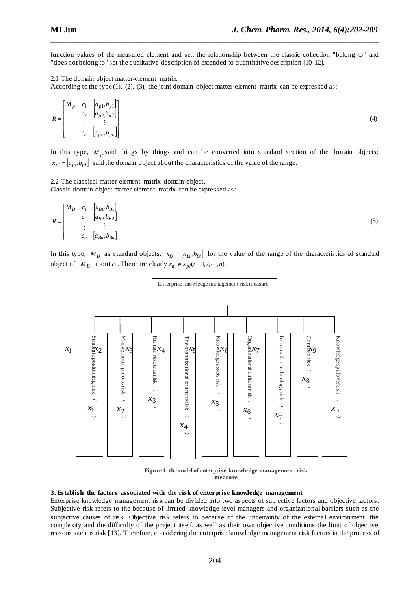function values of the measured element and set, the relationship between the classic collection "belong to" and "does not belong to" set the qualitative description of extended to quantitative description [10-12].

*\_\_\_\_\_\_\_\_\_\_\_\_\_\_\_\_\_\_\_\_\_\_\_\_\_\_\_\_\_\_\_\_\_\_\_\_\_\_\_\_\_\_\_\_\_\_\_\_\_\_\_\_\_\_\_\_\_\_\_\_\_\_\_\_\_\_\_\_\_\_\_\_\_\_\_\_\_\_*

2.1 The domain object matter-element matrix. According to the type (1), (2), (3), the joint domain object matter-element matrix can be expressed as:

$$
R = \begin{bmatrix} M_p & c_1 & a_{p1}, b_{p1} \\ & c_2 & a_{p2}, b_{p2} \\ & \vdots & \vdots & \\ & c_n & a_{pn}, b_{pn} \end{bmatrix}
$$
 (4)

In this type,  $M_p$  said things by things and can be converted into standard section of the domain objects;  $x_{pi} = [a_{pi}, b_{pi}]$  said the domain object about the characteristics of the value of the range.

2.2 The classical matter-element matrix domain object. Classic domain object matter-element matrix can be expressed as:

$$
R = \begin{bmatrix} M_B & c_1 & [a_{B1}, b_{B1}] \\ c_2 & [a_{B2}, b_{B2}] \\ \vdots & \vdots \\ c_n & [a_{Bn}, b_{Bn}] \end{bmatrix}
$$
 (5)

In this type,  $M_B$  as standard objects;  $x_{Bi} = [a_{Bi}, b_{Bi}]$  for the value of the range of the characteristics of standard object of  $M_B$  about  $c_i$ . There are clearly  $x_m \in x_{pi}(i = 1, 2, \dots, n)$ .



**Figure 1: the model of enterprise knowledge management risk measure**

# **3. Establish the factors associated with the risk of enterprise knowledge management**

Enterprise knowledge management risk can be divided into two aspects of subjective factors and objective factors. Subjective risk refers to the because of limited knowledge level managers and organizational barriers such as the subjective causes of risk; Objective risk refers to because of the uncertainty of the external environment, the complexity and the difficulty of the project itself, as well as their own objective conditions the limit of objective reasons such as risk [13]. Therefore, considering the enterprise knowledge management risk factors in the process of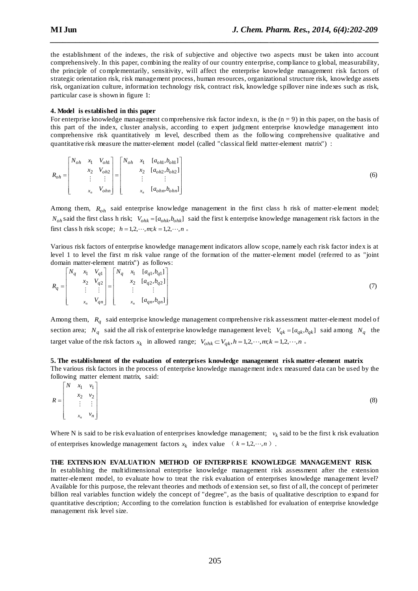the establishment of the indexes, the risk of subjective and objective two aspects must be taken into account comprehensively. In this paper, combining the reality of our country enterprise, compliance to global, measurability, the principle of complementarily, sensitivity, will affect the enterprise knowledge management risk factors of strategic orientation risk, risk management process, human resources, organizational structure risk, knowledge assets risk, organization culture, information technology risk, contract risk, knowledge spillover nine indexes such as risk, particular case is shown in figure 1:

*\_\_\_\_\_\_\_\_\_\_\_\_\_\_\_\_\_\_\_\_\_\_\_\_\_\_\_\_\_\_\_\_\_\_\_\_\_\_\_\_\_\_\_\_\_\_\_\_\_\_\_\_\_\_\_\_\_\_\_\_\_\_\_\_\_\_\_\_\_\_\_\_\_\_\_\_\_\_*

### **4. Model is established in this paper**

For enterprise knowledge management comprehensive risk factor index n, is the  $(n = 9)$  in this paper, on the basis of this part of the index, cluster analysis, according to expert judgment enterprise knowledge management into comprehensive risk quantitatively m level, described them as the following comprehensive qualitative and quantitative risk measure the matter-element model (called "classical field matter-element matrix") :

$$
R_{oh} = \begin{bmatrix} N_{oh} & x_1 & V_{oh1} \\ x_2 & V_{oh2} \\ \vdots & \vdots \\ x_n & V_{ohn} \end{bmatrix} = \begin{bmatrix} N_{oh} & x_1 & [a_{oh1}, b_{oh1}] \\ x_2 & [a_{oh2}, b_{oh2}] \\ \vdots & \vdots \\ x_n & [a_{ohn}, b_{ohn}] \end{bmatrix}
$$
(6)

Among them, *Roh* said enterprise knowledge management in the first class h risk of matter-element model;  $N_{oh}$  said the first class h risk;  $V_{ohk} = [a_{ohk}, b_{ohk}]$  said the first k enterprise knowledge management risk factors in the first class h risk scope;  $h = 1, 2, \dots, m; k = 1, 2, \dots, n$ .

Various risk factors of enterprise knowledge management indicators allow scope, namely each risk factor index is at level 1 to level the first m risk value range of the formation of the matter-element model (referred to as "joint domain matter-element matrix") as follows:

$$
R_q = \begin{bmatrix} N_q & x_1 & V_{q1} \\ x_2 & V_{q2} \\ \vdots & \vdots & \vdots \\ x_n & V_{qn} \end{bmatrix} = \begin{bmatrix} N_q & x_1 & [a_{q1}, b_{q1}] \\ x_2 & [a_{q2}, b_{q2}] \\ \vdots & \vdots & \vdots \\ x_n & [a_{qn}, b_{qn}] \end{bmatrix}
$$
(7)

Among them, *Rq* said enterprise knowledge management comprehensive risk assessment matter-element model of section area;  $N_q$  said the all risk of enterprise knowledge management level;  $V_{qk} = [a_{qk}, b_{qk}]$  said among  $N_q$  the target value of the risk factors  $x_k$  in allowed range;  $V_{ohk} \subset V_{qk}$ ,  $h = 1, 2, \dots, m; k = 1, 2, \dots, n$ .

# **5. The establishment of the evaluation of enterprises knowledge management risk matter-element matrix**

The various risk factors in the process of enterprise knowledge management index measured data can be used by the following matter element matrix, said:

| $R = \begin{bmatrix} N & x_1 & v_1 \\ & x_2 & v_2 \\ & \vdots & \vdots \\ & & x_n & v_n \end{bmatrix}$ |  | (8) |
|--------------------------------------------------------------------------------------------------------|--|-----|
|                                                                                                        |  |     |

Where N is said to be risk evaluation of enterprises knowledge management;  $v_k$  said to be the first k risk evaluation of enterprises knowledge management factors  $x_k$  index value ( $k = 1, 2, \dots, n$ ).

# **THE EXTENS ION EVALUATION METHOD OF ENTERPRIS E KNOWLEDGE MANAGEMENT RISK**

In establishing the multidimensional enterprise knowledge management risk assessment after the extension matter-element model, to evaluate how to treat the risk evaluation of enterprises knowledge management level? Available for this purpose, the relevant theories and methods of extension set, so first of all, the concept of perimeter billion real variables function widely the concept of "degree", as the basis of qualitative description to expand for quantitative description; According to the correlation function is established for evaluation of enterprise knowledge management risk level size.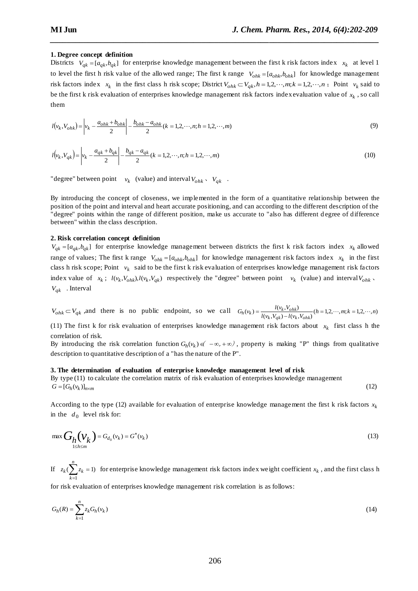### **1. Degree concept definition**

Districts  $V_{qk} = [a_{qk}, b_{qk}]$  for enterprise knowledge management between the first k risk factors index  $x_k$  at level 1 to level the first h risk value of the allowed range; The first k range  $V_{ohk} = [a_{ohk}, b_{ohk}]$  for knowledge management risk factors index  $x_k$  in the first class h risk scope; District  $V_{ohk} \subset V_{qk}$ ,  $h = 1, 2, \dots, m; k = 1, 2, \dots, n$ ; Point  $v_k$  said to be the first k risk evaluation of enterprises knowledge management risk factors index evaluation value of  $x_k$ , so call them

*\_\_\_\_\_\_\_\_\_\_\_\_\_\_\_\_\_\_\_\_\_\_\_\_\_\_\_\_\_\_\_\_\_\_\_\_\_\_\_\_\_\_\_\_\_\_\_\_\_\_\_\_\_\_\_\_\_\_\_\_\_\_\_\_\_\_\_\_\_\_\_\_\_\_\_\_\_\_*

$$
l(v_k, V_{ohk}) = \left| v_k - \frac{a_{ohk} + b_{ohk}}{2} \right| - \frac{b_{ohk} - a_{ohk}}{2} (k = 1, 2, \cdots, n; h = 1, 2, \cdots, m)
$$
\n(9)

$$
l(v_k, V_{qk}) = \left| v_k - \frac{a_{qk} + b_{qk}}{2} \right| - \frac{b_{qk} - a_{qk}}{2} (k = 1, 2, \cdots, n; h = 1, 2, \cdots, m)
$$
\n(10)

"degree" between point  $v_k$  (value) and interval  $V_{ohk}$ ,  $V_{qk}$ .

By introducing the concept of closeness, we implemented in the form of a quantitative relationship between the position of the point and interval and heart accurate positioning, and can according to the different description of the "degree" points within the range of different position, make us accurate to "also has different d egree of difference between" within the class description.

#### **2. Risk correlation concept definition**

 $V_{qk} = [a_{qk}, b_{qk}]$  for enterprise knowledge management between districts the first k risk factors index  $x_k$  allowed range of values; The first k range  $V_{ohk} = [a_{ohk}, b_{ohk}]$  for knowledge management risk factors index  $x_k$  in the first class h risk scope; Point *v<sub>k</sub>* said to be the first k risk evaluation of enterprises knowledge management risk factors index value of  $x_k$ ;  $l(v_k, V_{ohk})$ ,  $l(v_k, V_{qh})$  respectively the "degree" between point  $v_k$  (value) and interval  $V_{ohk}$ , *Vqk* . Interval

 $V_{ohk} \subset V_{qk}$ , and there is no public endpoint, so we call  $G_h(v_k) = \frac{I(v_k, v_{ohk})}{I(v_k, V_{ohk}) - I(v_k, V_{ohk})}$  ( $h = 1, 2, \dots, m; k = 1, 2, \dots, n$ )  $(v_k) = \frac{l(v_k, V_{ohk})}{l(v_k, V_{ak}) - l(v_k, V_{ohk})}$   $(h = 1, 2, \dots, m; k = 1, 2, \dots, n$  $G_h(v_k) = \frac{l(v_k, V_{ohk})}{l(v_k, V_{qh}) - l(v_k, V_{ohk})}$   $(h = 1, 2, \dots, m; k = 1, 2, \dots, n)$ 

(11) The first k for risk evaluation of enterprises knowledge management risk factors about  $x_k$  first class h the correlation of risk.

By introducing the risk correlation function  $G_h(v_k) \in (-\infty, +\infty)$ , property is making "P" things from qualitative description to quantitative description of a "has the nature of the P".

### **3. The determination of evaluation of enterprise knowledge management level of risk**

By type (11) to calculate the correlation matrix of risk evaluation of enterprises knowledge management  $G = [G_h(v_k)]$  $\int_{n \times m}$  (12)

According to the type (12) available for evaluation of enterprise knowledge management the first k risk factors  $x_k$ in the  $d_0$  level risk for:

$$
\max \mathbf{G}_{h}(\mathbf{V}_{k}) = G_{d_{0}}(\mathbf{v}_{k}) = G^{*}(\mathbf{v}_{k})
$$
\n(13)

If  $z_k(\sum z_k = 1)$  $\sum_{k=1} z_k =$ *n k*  $z_k$  ( $\sum z_k = 1$ ) for enterprise knowledge management risk factors index weight coefficient  $x_k$ , and the first class h

for risk evaluation of enterprises knowledge management risk correlation is as follows:

$$
G_h(R) = \sum_{k=1}^n z_k G_h(v_k)
$$
\n(14)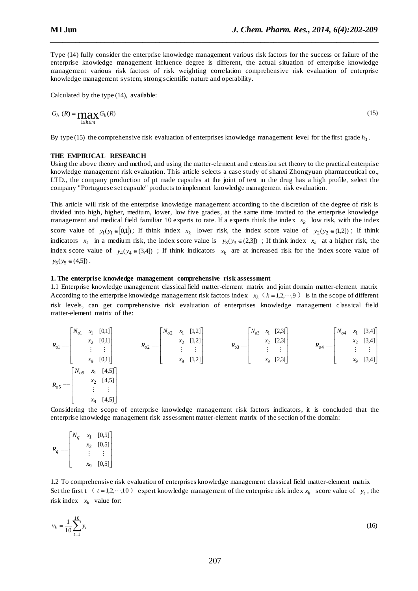Type (14) fully consider the enterprise knowledge management various risk factors for the success or failure of the enterprise knowledge management influence degree is different, the actual situation of enterprise knowledge management various risk factors of risk weighting correlation comprehensive risk evaluation of enterprise knowledge management system, strong scientific nature and operability.

*\_\_\_\_\_\_\_\_\_\_\_\_\_\_\_\_\_\_\_\_\_\_\_\_\_\_\_\_\_\_\_\_\_\_\_\_\_\_\_\_\_\_\_\_\_\_\_\_\_\_\_\_\_\_\_\_\_\_\_\_\_\_\_\_\_\_\_\_\_\_\_\_\_\_\_\_\_\_*

Calculated by the type (14), available:

$$
G_{h_0}(R) = \max_{1 \le h \le m} G_h(R) \tag{15}
$$

By type (15) the comprehensive risk evaluation of enterprises knowledge management level for the first grade  $h_0$ .

### **THE EMPIRICAL RESEARCH**

Using the above theory and method, and using the matter-element and extension set theory to the practical enterprise knowledge management risk evaluation. This article selects a case study of shanxi Zhongyuan pharmaceutical co., LTD., the company production of pt made capsules at the joint of text in the drug has a high profile, select the company "Portuguese set capsule" products to implement knowledge management risk evaluation.

This article will risk of the enterprise knowledge management according to the discretion of the degree of risk is divided into high, higher, medium, lower, low five grades, at the same time invited to the enterprise knowledge management and medical field familiar 10 experts to rate. If a experts think the index  $x_k$  low risk, with the index score value of  $y_1(y_1 \in [0,1])$ ; If think index  $x_k$  lower risk, the index score value of  $y_2(y_2 \in (1,2])$ ; If think indicators  $x_k$  in a medium risk, the index score value is  $y_3(y_3 \in (2,3])$ ; If think index  $x_k$  at a higher risk, the index score value of  $y_4(y_4 \in (3,4])$ ; If think indicators  $x_k$  are at increased risk for the index score value of  $y_5(y_5 \in (4,5])$ .

### **1. The enterprise knowledge management comprehensive risk assessment**

1.1 Enterprise knowledge management classical field matter-element matrix and joint domain matter-element matrix According to the enterprise knowledge management risk factors index  $x_k$  ( $k = 1, 2, \dots, 9$ ) is in the scope of different risk levels, can get comprehensive risk evaluation of enterprises knowledge management classical field matter-element matrix of the:

$$
R_{01} = \begin{bmatrix} N_{o1} & x_1 & [0,1] \\ x_2 & [0,1] \\ \vdots & \vdots \\ x_9 & [0,1] \end{bmatrix} \qquad R_{o2} = \begin{bmatrix} N_{o2} & x_1 & [1,2] \\ x_2 & [1,2] \\ \vdots & \vdots \\ x_9 & [1,2] \end{bmatrix} \qquad R_{o3} = \begin{bmatrix} N_{o3} & x_1 & [2,3] \\ x_2 & [2,3] \\ \vdots & \vdots \\ x_9 & [2,3] \end{bmatrix} \qquad R_{o4} = \begin{bmatrix} N_{o4} & x_1 & [3,4] \\ x_2 & [3,4] \\ \vdots & \vdots \\ x_9 & [3,4] \end{bmatrix}
$$
  

$$
R_{o5} = \begin{bmatrix} N_{o5} & x_1 & [4,5] \\ x_2 & [4,5] \\ \vdots & \vdots \\ x_9 & [4,5] \end{bmatrix}
$$

Considering the scope of enterprise knowledge management risk factors indicators, it is concluded that the enterprise knowledge management risk assessment matter-element matrix of the section of the domain:

$$
R_q = \begin{bmatrix} N_q & x_1 & [0,5] \\ & x_2 & [0,5] \\ & \vdots & \vdots \\ & x_9 & [0,5] \end{bmatrix}
$$

1.2 To comprehensive risk evaluation of enterprises knowledge management classical field matter-element matrix Set the first  $t \left( t = 1, 2, \dots, 10 \right)$  expert knowledge management of the enterprise risk index  $x_k$  score value of  $y_t$ , the risk index  $x_k$  value for:

$$
v_k = \frac{1}{10} \sum_{t=1}^{10} y_t
$$
 (16)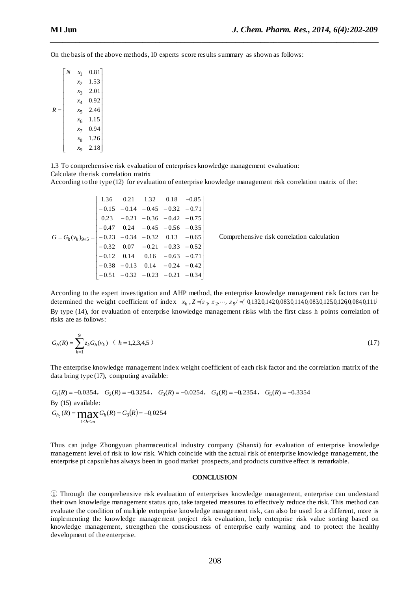On the basis of the above methods, 10 experts score results summary as shown as follows:

 $\cdot$  $x_8$  1.26  $\overline{\phantom{a}}$  $\begin{bmatrix} x_7 & 0.94 \end{bmatrix}$  $x_6$  1.15 Ί  $x_5$  2.46 0.92 4 *x*  $\overline{\phantom{a}}$  $x_3$  2.01  $\overline{\phantom{a}}$  $\begin{bmatrix} x_2 & 1.53 \end{bmatrix}$  2.18  $\begin{vmatrix} N & x_1 & 0.81 \end{vmatrix}$ L  $\mathbf{r}$ L L L L L L L L L L L L *R* 9 *x*

1.3 To comprehensive risk evaluation of enterprises knowledge management evaluation:

Calculate the risk correlation matrix

According to the type (12) for evaluation of enterprise knowledge management risk correlation matrix of the:

*\_\_\_\_\_\_\_\_\_\_\_\_\_\_\_\_\_\_\_\_\_\_\_\_\_\_\_\_\_\_\_\_\_\_\_\_\_\_\_\_\_\_\_\_\_\_\_\_\_\_\_\_\_\_\_\_\_\_\_\_\_\_\_\_\_\_\_\_\_\_\_\_\_\_\_\_\_\_*

$$
G = G_h(v_k)_{9\times5} = \begin{bmatrix} 1.36 & 0.21 & 1.32 & 0.18 & -0.85 \\ -0.15 & -0.14 & -0.45 & -0.32 & -0.71 \\ 0.23 & -0.21 & -0.36 & -0.42 & -0.75 \\ -0.47 & 0.24 & -0.45 & -0.56 & -0.35 \\ -0.23 & -0.34 & -0.32 & 0.13 & -0.65 \\ -0.32 & 0.07 & -0.21 & -0.33 & -0.52 \\ -0.12 & 0.14 & 0.16 & -0.63 & -0.71 \\ -0.38 & -0.13 & 0.14 & -0.24 & -0.42 \\ -0.51 & -0.32 & -0.23 & -0.21 & -0.34 \end{bmatrix}
$$

Comprehensive risk correlation calculation

According to the expert investigation and AHP method, the enterprise knowledge management risk factors can be determined the weight coefficient of index  $x_k$ ,  $Z \leq z_1$ ,  $z_2$ ,  $z_3$ ,  $z_4$  (0.1320.1420.0830.1140.0830.125.0.1260.0840.111) By type (14), for evaluation of enterprise knowledge management risks with the first class h points correlation of risks are as follows:

$$
G_h(R) = \sum_{k=1}^{9} z_k G_h(v_k) \quad (h = 1, 2, 3, 4, 5)
$$
 (17)

The enterprise knowledge management index weight coefficient of each risk factor and the correlation matrix of the data bring type (17), computing available:

$$
G_1(R) = -0.0354, \quad G_2(R) = -0.3254, \quad G_3(R) = -0.0254, \quad G_4(R) = -0.2354, \quad G_5(R) = -0.3354
$$
  
By (15) available:  

$$
G_{h_0}(R) = \max_{1 \le h \le m} G_h(R) = G_3(R) = -0.0254
$$

Thus can judge Zhongyuan pharmaceutical industry company (Shanxi) for evaluation of enterprise knowledge management level of risk to low risk. Which coincide with the actual risk of enterprise knowledge management, the enterprise pt capsule has always been in good market prospects, and products curative effect is remarkable.

#### **CONCLUSION**

① Through the comprehensive risk evaluation of enterprises knowledge management, enterprise can understand their own knowledge management status quo, take targeted measures to effectively reduce the risk. This method can evaluate the condition of multiple enterpris e knowledge management risk, can also be used for a different, more is implementing the knowledge management project risk evaluation, help enterprise risk value sorting based on knowledge management, strengthen the consciousness of enterprise early warning and to protect the healthy development of the enterprise.